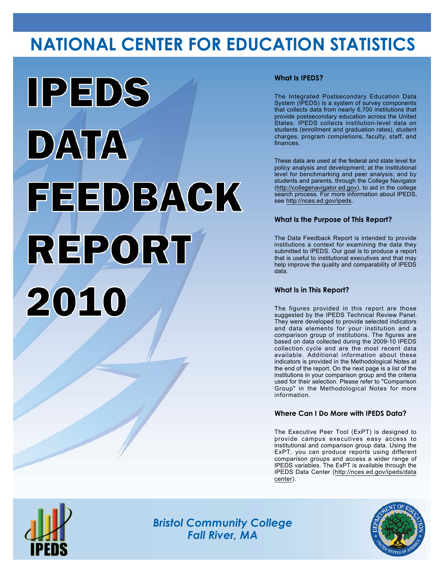# **NATIONAL CENTER FOR EDUCATION STATISTICS**



## **What Is IPEDS?**

The Integrated Postsecondary Education Data System (IPEDS) is a system of survey components that collects data from nearly 6,700 institutions that provide postsecondary education across the United States. IPEDS collects institution-level data on students (enrollment and graduation rates), student charges, program completions, faculty, staff, and finances.

These data are used at the federal and state level for policy analysis and development; at the institutional level for benchmarking and peer analysis; and by students and parents, through the College Navigator (<http://collegenavigator.ed.gov>), to aid in the college search process. For more information about IPEDS, see [http://nces.ed.gov/ipeds.](http://nces.ed.gov/ipeds)

## **What Is the Purpose of This Report?**

The Data Feedback Report is intended to provide institutions a context for examining the data they submitted to IPEDS. Our goal is to produce a report that is useful to institutional executives and that may help improve the quality and comparability of IPEDS data.

### **What Is in This Report?**

The figures provided in this report are those suggested by the IPEDS Technical Review Panel. They were developed to provide selected indicators and data elements for your institution and a comparison group of institutions. The figures are based on data collected during the 2009-10 IPEDS collection cycle and are the most recent data available. Additional information about these indicators is provided in the Methodological Notes at the end of the report. On the next page is a list of the institutions in your comparison group and the criteria used for their selection. Please refer to "Comparison Group" in the Methodological Notes for more information.

### **Where Can I Do More with IPEDS Data?**

The Executive Peer Tool (ExPT) is designed to provide campus executives easy access to institutional and comparison group data. Using the ExPT, you can produce reports using different comparison groups and access a wider range of IPEDS variables. The ExPT is available through the IPEDS Data Center ([http://nces.ed.gov/ipeds/data](http://nces.ed.gov/ipeds/datacenter) [center](http://nces.ed.gov/ipeds/datacenter)).



Image description. Cover Image End of image description.

*Bristol Community College Fall River, MA*

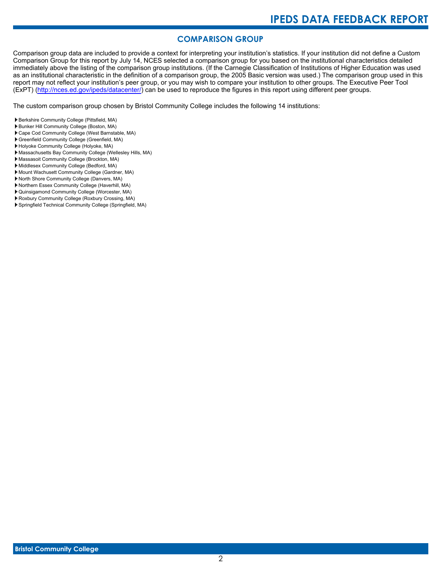# **COMPARISON GROUP**

Comparison group data are included to provide a context for interpreting your institution's statistics. If your institution did not define a Custom Comparison Group for this report by July 14, NCES selected a comparison group for you based on the institutional characteristics detailed immediately above the listing of the comparison group institutions. (If the Carnegie Classification of Institutions of Higher Education was used as an institutional characteristic in the definition of a comparison group, the 2005 Basic version was used.) The comparison group used in this report may not reflect your institution's peer group, or you may wish to compare your institution to other groups. The Executive Peer Tool (ExPT) [\(http://nces.ed.gov/ipeds/datacenter/\)](http://nces.ed.gov/ipeds/datacenter/) can be used to reproduce the figures in this report using different peer groups.

The custom comparison group chosen by Bristol Community College includes the following 14 institutions:

- Berkshire Community College (Pittsfield, MA)
- Bunker Hill Community College (Boston, MA)
- Cape Cod Community College (West Barnstable, MA)
- Greenfield Community College (Greenfield, MA) Holyoke Community College (Holyoke, MA)
- Massachusetts Bay Community College (Wellesley Hills, MA)
- Massasoit Community College (Brockton, MA)
- Middlesex Community College (Bedford, MA)
- Mount Wachusett Community College (Gardner, MA)
- North Shore Community College (Danvers, MA)
- Northern Essex Community College (Haverhill, MA)
- Quinsigamond Community College (Worcester, MA)
- Roxbury Community College (Roxbury Crossing, MA)
- Springfield Technical Community College (Springfield, MA)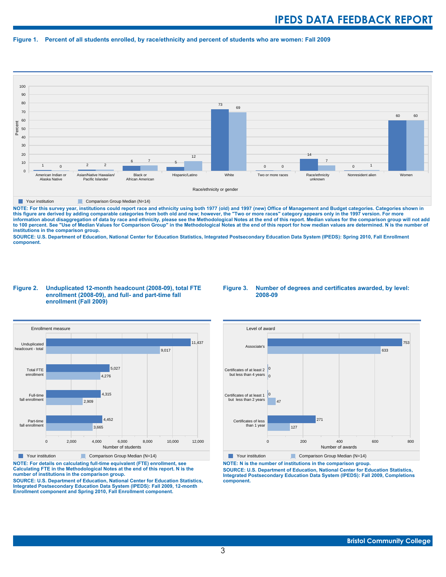#### **Figure 1. Percent of all students enrolled, by race/ethnicity and percent of students who are women: Fall 2009**



**The Comparison Group Median (N=14)** Comparison Group Median (N=14)

NOTE: For this survey year, institutions could report race and ethnicity using both 1977 (old) and 1997 (new) Office of Management and Budget categories. Categories shown in<br>this figure are derived by adding comparable cat **information about disaggregation of data by race and ethnicity, please see the Methodological Notes at the end of this report. Median values for the comparison group will not add to 100 percent. See "Use of Median Values for Comparison Group" in the Methodological Notes at the end of this report for how median values are determined. N is the number of institutions in the comparison group.**

**SOURCE: U.S. Department of Education, National Center for Education Statistics, Integrated Postsecondary Education Data System (IPEDS): Spring 2010, Fall Enrollment component.**

#### **Figure 2. Unduplicated 12-month headcount (2008-09), total FTE enrollment (2008-09), and full- and part-time fall enrollment (Fall 2009)**





**NOTE: For details on calculating full-time equivalent (FTE) enrollment, see Calculating FTE in the Methodological Notes at the end of this report. N is the number of institutions in the comparison group.**

**SOURCE: U.S. Department of Education, National Center for Education Statistics, Integrated Postsecondary Education Data System (IPEDS): Fall 2009, 12-month Enrollment component and Spring 2010, Fall Enrollment component.**



**The Your institution** Comparison Group Median (N=14)

**NOTE: N is the number of institutions in the comparison group. SOURCE: U.S. Department of Education, National Center for Education Statistics, Integrated Postsecondary Education Data System (IPEDS): Fall 2009, Completions component.**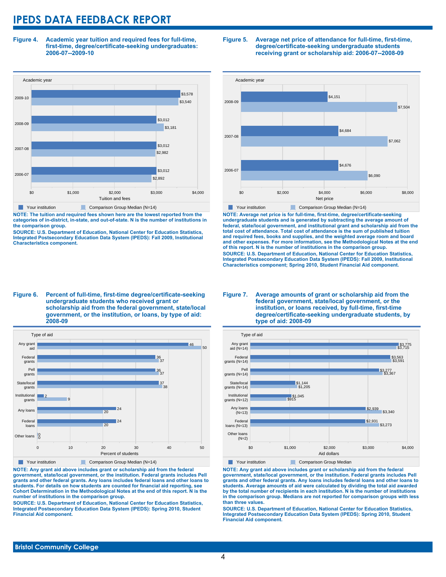**Figure 4. Academic year tuition and required fees for full-time, first-time, degree/certificate-seeking undergraduates: 2006-07--2009-10**



**NOTE: The tuition and required fees shown here are the lowest reported from the categories of in-district, in-state, and out-of-state. N is the number of institutions in the comparison group.**

**SOURCE: U.S. Department of Education, National Center for Education Statistics, Integrated Postsecondary Education Data System (IPEDS): Fall 2009, Institutional Characteristics component.**

#### **Figure 5. Average net price of attendance for full-time, first-time, degree/certificate-seeking undergraduate students receiving grant or scholarship aid: 2006-07--2008-09**



**NOTE: Average net price is for full-time, first-time, degree/certificate-seeking undergraduate students and is generated by subtracting the average amount of federal, state/local government, and institutional grant and scholarship aid from the total cost of attendance. Total cost of attendance is the sum of published tuition and required fees, books and supplies, and the weighted average room and board and other expenses. For more information, see the Methodological Notes at the end of this report. N is the number of institutions in the comparison group. SOURCE: U.S. Department of Education, National Center for Education Statistics, Integrated Postsecondary Education Data System (IPEDS): Fall 2009, Institutional Characteristics component; Spring 2010, Student Financial Aid component.**

#### **Figure 6. Percent of full-time, first-time degree/certificate-seeking undergraduate students who received grant or scholarship aid from the federal government, state/local government, or the institution, or loans, by type of aid: 2008-09**



**NOTE: Any grant aid above includes grant or scholarship aid from the federal government, state/local government, or the institution. Federal grants includes Pell grants and other federal grants. Any loans includes federal loans and other loans to students. For details on how students are counted for financial aid reporting, see Cohort Determination in the Methodological Notes at the end of this report. N is the number of institutions in the comparison group.**

**SOURCE: U.S. Department of Education, National Center for Education Statistics, Integrated Postsecondary Education Data System (IPEDS): Spring 2010, Student Financial Aid component.**

#### **Figure 7. Average amounts of grant or scholarship aid from the federal government, state/local government, or the institution, or loans received, by full-time, first-time degree/certificate-seeking undergraduate students, by type of aid: 2008-09**



**The Your institution Comparison Group Median** 

**NOTE: Any grant aid above includes grant or scholarship aid from the federal government, state/local government, or the institution. Federal grants includes Pell grants and other federal grants. Any loans includes federal loans and other loans to students. Average amounts of aid were calculated by dividing the total aid awarded by the total number of recipients in each institution. N is the number of institutions in the comparison group. Medians are not reported for comparison groups with less than three values.**

**SOURCE: U.S. Department of Education, National Center for Education Statistics, Integrated Postsecondary Education Data System (IPEDS): Spring 2010, Student Financial Aid component.**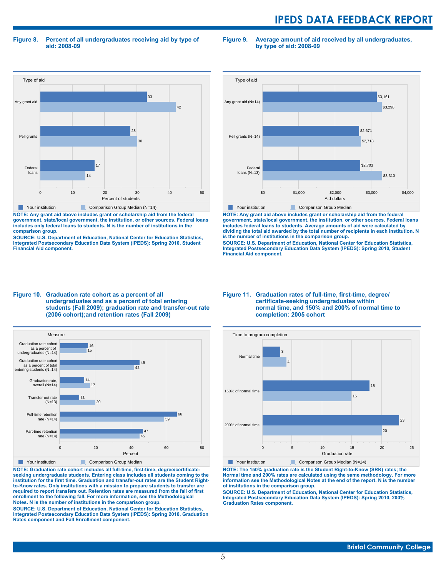**Figure 8. Percent of all undergraduates receiving aid by type of aid: 2008-09**

Type of aid Federal loans Pell grants Any grant aid  $14$ 17 30 28 42 33

> 0 10 20 30 40 50 Percent of students

Your institution Comparison Group Median (N=14)

**comparison group.**

**Financial Aid component.**

**NOTE: Any grant aid above includes grant or scholarship aid from the federal government, state/local government, the institution, or other sources. Federal loans includes only federal loans to students. N is the number of institutions in the**

**SOURCE: U.S. Department of Education, National Center for Education Statistics, Integrated Postsecondary Education Data System (IPEDS): Spring 2010, Student**



**Figure 9. Average amount of aid received by all undergraduates,**

**by type of aid: 2008-09**



**NOTE: Any grant aid above includes grant or scholarship aid from the federal government, state/local government, the institution, or other sources. Federal loans includes federal loans to students. Average amounts of aid were calculated by dividing the total aid awarded by the total number of recipients in each institution. N is the number of institutions in the comparison group.**

**SOURCE: U.S. Department of Education, National Center for Education Statistics, Integrated Postsecondary Education Data System (IPEDS): Spring 2010, Student Financial Aid component.**

#### **Figure 10. Graduation rate cohort as a percent of all undergraduates and as a percent of total entering students (Fall 2009); graduation rate and transfer-out rate (2006 cohort);and retention rates (Fall 2009)**



**NOTE: Graduation rate cohort includes all full-time, first-time, degree/certificateseeking undergraduate students. Entering class includes all students coming to the institution for the first time. Graduation and transfer-out rates are the Student Rightto-Know rates. Only institutions with a mission to prepare students to transfer are required to report transfers out. Retention rates are measured from the fall of first enrollment to the following fall. For more information, see the Methodological Notes. N is the number of institutions in the comparison group.**

**SOURCE: U.S. Department of Education, National Center for Education Statistics, Integrated Postsecondary Education Data System (IPEDS): Spring 2010, Graduation Rates component and Fall Enrollment component.**

#### **Figure 11. Graduation rates of full-time, first-time, degree/ certificate-seeking undergraduates within normal time, and 150% and 200% of normal time to completion: 2005 cohort**



**NOTE: The 150% graduation rate is the Student Right-to-Know (SRK) rates; the Normal time and 200% rates are calculated using the same methodology. For more information see the Methodological Notes at the end of the report. N is the number of institutions in the comparison group.**

**SOURCE: U.S. Department of Education, National Center for Education Statistics, Integrated Postsecondary Education Data System (IPEDS): Spring 2010, 200% Graduation Rates component.**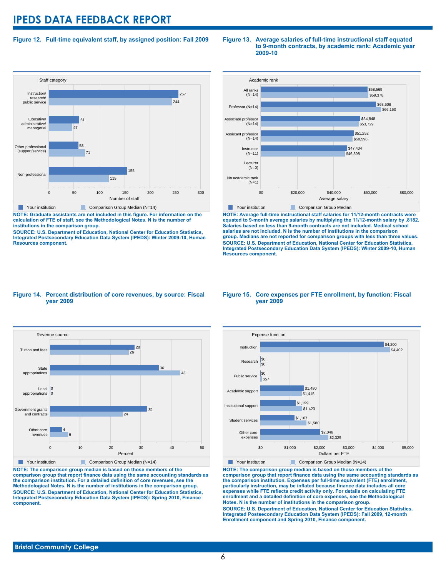### **Figure 12. Full-time equivalent staff, by assigned position: Fall 2009**

#### **Staff category** 0 50 100 150 200 250 300 Number of staff Non-professional Other professional (support/service) Executive/ administrative/ managerial Instruction/ research/ public service 119 155  $\overline{7}$ 58 47 61 244 257 Your institution Comparison Group Median (N=14)

**NOTE: Graduate assistants are not included in this figure. For information on the calculation of FTE of staff, see the Methodological Notes. N is the number of institutions in the comparison group.**

**SOURCE: U.S. Department of Education, National Center for Education Statistics, Integrated Postsecondary Education Data System (IPEDS): Winter 2009-10, Human Resources component.**

#### **Figure 13. Average salaries of full-time instructional staff equated to 9-month contracts, by academic rank: Academic year 2009-10**



**NOTE: Average full-time instructional staff salaries for 11/12-month contracts were equated to 9-month average salaries by multiplying the 11/12-month salary by .8182. Salaries based on less than 9-month contracts are not included. Medical school salaries are not included. N is the number of institutions in the comparison group. Medians are not reported for comparison groups with less than three values. SOURCE: U.S. Department of Education, National Center for Education Statistics, Integrated Postsecondary Education Data System (IPEDS): Winter 2009-10, Human Resources component.**

#### **Figure 14. Percent distribution of core revenues, by source: Fiscal year 2009**



**NOTE: The comparison group median is based on those members of the comparison group that report finance data using the same accounting standards as the comparison institution. For a detailed definition of core revenues, see the Methodological Notes. N is the number of institutions in the comparison group. SOURCE: U.S. Department of Education, National Center for Education Statistics, Integrated Postsecondary Education Data System (IPEDS): Spring 2010, Finance component.**

#### **Figure 15. Core expenses per FTE enrollment, by function: Fiscal year 2009**



**NOTE: The comparison group median is based on those members of the comparison group that report finance data using the same accounting standards as the comparison institution. Expenses per full-time equivalent (FTE) enrollment, particularly instruction, may be inflated because finance data includes all core expenses while FTE reflects credit activity only. For details on calculating FTE enrollment and a detailed definition of core expenses, see the Methodological Notes. N is the number of institutions in the comparison group. SOURCE: U.S. Department of Education, National Center for Education Statistics, Integrated Postsecondary Education Data System (IPEDS): Fall 2009, 12-month Enrollment component and Spring 2010, Finance component.**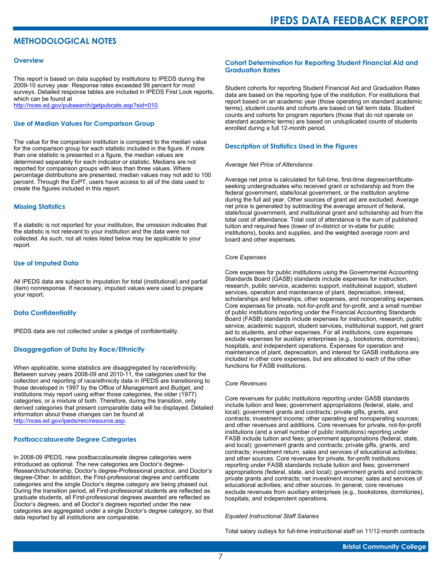# **METHODOLOGICAL NOTES**

#### **Overview**

This report is based on data supplied by institutions to IPEDS during the 2009-10 survey year. Response rates exceeded 99 percent for most surveys. Detailed response tables are included in IPEDS First Look reports, which can be found at [http://nces.ed.gov/pubsearch/getpubcats.asp?sid=010.](http://nces.ed.gov/pubsearch/getpubcats.asp?sid=010)

#### **Use of Median Values for Comparison Group**

The value for the comparison institution is compared to the median value for the comparison group for each statistic included in the figure. If more than one statistic is presented in a figure, the median values are determined separately for each indicator or statistic. Medians are not reported for comparison groups with less than three values. Where percentage distributions are presented, median values may not add to 100 percent. Through the ExPT, users have access to all of the data used to create the figures included in this report.

#### **Missing Statistics**

If a statistic is not reported for your institution, the omission indicates that the statistic is not relevant to your institution and the data were not collected. As such, not all notes listed below may be applicable to your report.

#### **Use of Imputed Data**

All IPEDS data are subject to imputation for total (institutional) and partial (item) nonresponse. If necessary, imputed values were used to prepare your report.

#### **Data Confidentiality**

IPEDS data are not collected under a pledge of confidentiality.

#### **Disaggregation of Data by Race/Ethnicity**

When applicable, some statistics are disaggregated by race/ethnicity. Between survey years 2008-09 and 2010-11, the categories used for the collection and reporting of race/ethnicity data in IPEDS are transitioning to those developed in 1997 by the Office of Management and Budget, and institutions may report using either those categories, the older (1977) categories, or a mixture of both. Therefore, during the transition, only derived categories that present comparable data will be displayed. Detailed information about these changes can be found at <http://nces.ed.gov/ipeds/reic/resource.asp>.

#### **Postbaccalaureate Degree Categories**

In 2008-09 IPEDS, new postbaccalaureate degree categories were introduced as optional. The new categories are Doctor's degree-Research/scholarship, Doctor's degree-Professional practice, and Doctor's degree-Other. In addition, the First-professional degree and certificate categories and the single Doctor's degree category are being phased out. During the transition period, all First-professional students are reflected as graduate students, all First-professional degrees awarded are reflected as Doctor's degrees, and all Doctor's degrees reported under the new categories are aggregated under a single Doctor's degree category, so that data reported by all institutions are comparable.

#### **Cohort Determination for Reporting Student Financial Aid and Graduation Rates**

Student cohorts for reporting Student Financial Aid and Graduation Rates data are based on the reporting type of the institution. For institutions that report based on an academic year (those operating on standard academic terms), student counts and cohorts are based on fall term data. Student counts and cohorts for program reporters (those that do not operate on standard academic terms) are based on unduplicated counts of students enrolled during a full 12-month period.

#### **Description of Statistics Used in the Figures**

#### *Average Net Price of Attendance*

Average net price is calculated for full-time, first-time degree/certificateseeking undergraduates who received grant or scholarship aid from the federal government, state/local government, or the institution anytime during the full aid year. Other sources of grant aid are excluded. Average net price is generated by subtracting the average amount of federal, state/local government, and institutional grant and scholarship aid from the total cost of attendance. Total cost of attendance is the sum of published tuition and required fees (lower of in-district or in-state for public institutions), books and supplies, and the weighted average room and board and other expenses.

#### *Core Expenses*

Core expenses for public institutions using the Governmental Accounting Standards Board (GASB) standards include expenses for instruction, research, public service, academic support, institutional support, student services, operation and maintenance of plant, depreciation, interest, scholarships and fellowships, other expenses, and nonoperating expenses. Core expenses for private, not-for-profit and for-profit, and a small number of public institutions reporting under the Financial Accounting Standards Board (FASB) standards include expenses for instruction, research, public service, academic support, student services, institutional support, net grant aid to students, and other expenses. For all institutions, core expenses exclude expenses for auxiliary enterprises (e.g., bookstores, dormitories), hospitals, and independent operations. Expenses for operation and maintenance of plant, depreciation, and interest for GASB institutions are included in other core expenses, but are allocated to each of the other functions for FASB institutions.

#### *Core Revenues*

Core revenues for public institutions reporting under GASB standards include tuition and fees; government appropriations (federal, state, and local); government grants and contracts; private gifts, grants, and contracts; investment income; other operating and nonoperating sources; and other revenues and additions. Core revenues for private, not-for-profit institutions (and a small number of public institutions) reporting under FASB include tuition and fees; government appropriations (federal, state, and local); government grants and contracts; private gifts, grants, and contracts; investment return; sales and services of educational activities; and other sources. Core revenues for private, for-profit institutions reporting under FASB standards include tuition and fees; government appropriations (federal, state, and local); government grants and contracts; private grants and contracts; net investment income; sales and services of educational activities; and other sources. In general, core revenues exclude revenues from auxiliary enterprises (e.g., bookstores, dormitories), hospitals, and independent operations.

#### *Equated Instructional Staff Salaries*

Total salary outlays for full-time instructional staff on 11/12-month contracts